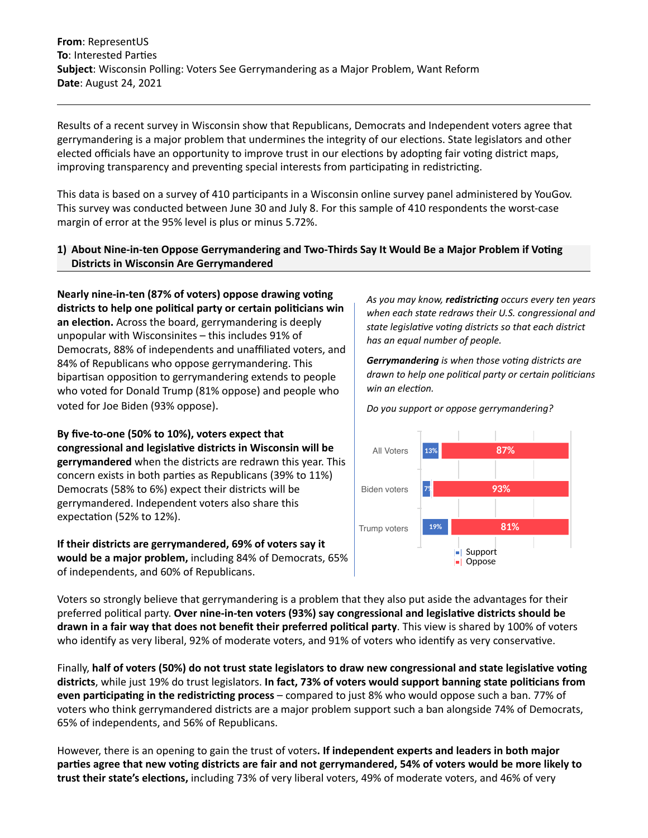**From**: RepresentUS **To**: Interested Parties **Subject**: Wisconsin Polling: Voters See Gerrymandering as a Major Problem, Want Reform **Date**: August 24, 2021

Results of a recent survey in Wisconsin show that Republicans, Democrats and Independent voters agree that gerrymandering is a major problem that undermines the integrity of our elections. State legislators and other elected officials have an opportunity to improve trust in our elections by adopting fair voting district maps, improving transparency and preventing special interests from participating in redistricting.

This data is based on a survey of 410 participants in a Wisconsin online survey panel administered by YouGov. This survey was conducted between June 30 and July 8. For this sample of 410 respondents the worst-case margin of error at the 95% level is plus or minus 5.72%.

## **1) About Nine-in-ten Oppose Gerrymandering and Two-Thirds Say It Would Be a Major Problem if Voting Districts in Wisconsin Are Gerrymandered**

**Nearly nine-in-ten (87% of voters) oppose drawing voting districts to help one political party or certain politicians win an election.** Across the board, gerrymandering is deeply unpopular with Wisconsinites – this includes 91% of Democrats, 88% of independents and unaffiliated voters, and 84% of Republicans who oppose gerrymandering. This bipartisan opposition to gerrymandering extends to people who voted for Donald Trump (81% oppose) and people who voted for Joe Biden (93% oppose).

**By five-to-one (50% to 10%), voters expect that congressional and legislative districts in Wisconsin will be gerrymandered** when the districts are redrawn this year. This concern exists in both parties as Republicans (39% to 11%) Democrats (58% to 6%) expect their districts will be gerrymandered. Independent voters also share this expectation (52% to 12%).

**If their districts are gerrymandered, 69% of voters say it would be a major problem,** including 84% of Democrats, 65% of independents, and 60% of Republicans.

*As you may know, redistricting occurs every ten years when each state redraws their U.S. congressional and state legislative voting districts so that each district has an equal number of people.* 

*Gerrymandering is when those voting districts are drawn to help one political party or certain politicians win an election.* 





Voters so strongly believe that gerrymandering is a problem that they also put aside the advantages for their preferred political party. **Over nine-in-ten voters (93%) say congressional and legislative districts should be drawn in a fair way that does not benefit their preferred political party**. This view is shared by 100% of voters who identify as very liberal, 92% of moderate voters, and 91% of voters who identify as very conservative.

Finally, **half of voters (50%) do not trust state legislators to draw new congressional and state legislative voting districts**, while just 19% do trust legislators. **In fact, 73% of voters would support banning state politicians from even participating in the redistricting process** – compared to just 8% who would oppose such a ban. 77% of voters who think gerrymandered districts are a major problem support such a ban alongside 74% of Democrats, 65% of independents, and 56% of Republicans.

However, there is an opening to gain the trust of voters**. If independent experts and leaders in both major parties agree that new voting districts are fair and not gerrymandered, 54% of voters would be more likely to trust their state's elections,** including 73% of very liberal voters, 49% of moderate voters, and 46% of very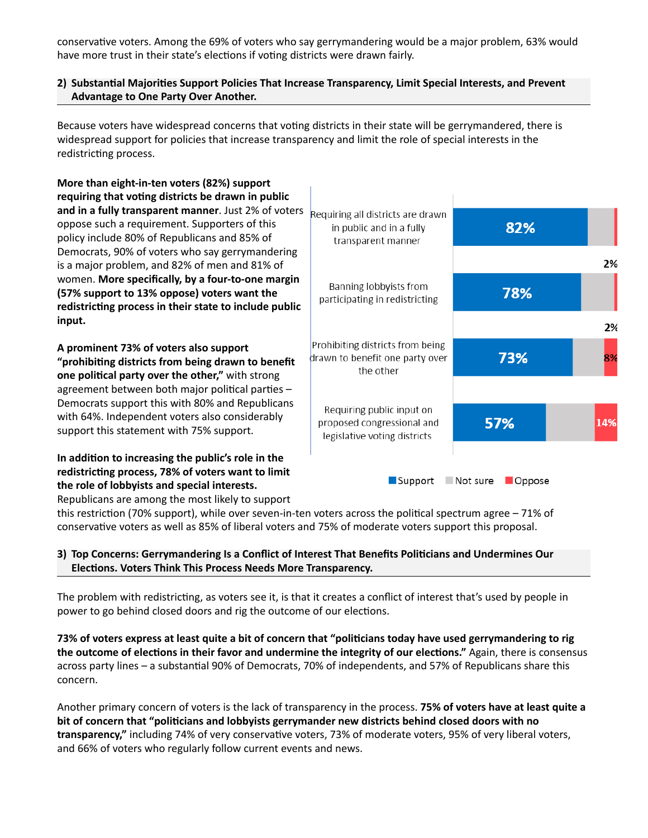conservative voters. Among the 69% of voters who say gerrymandering would be a major problem, 63% would have more trust in their state's elections if voting districts were drawn fairly.

## **2) Substantial Majorities Support Policies That Increase Transparency, Limit Special Interests, and Prevent Advantage to One Party Over Another.**

Because voters have widespread concerns that voting districts in their state will be gerrymandered, there is widespread support for policies that increase transparency and limit the role of special interests in the redistricting process.

**More than eight-in-ten voters (82%) support requiring that voting districts be drawn in public and in a fully transparent manner**. Just 2% of voters Requiring all districts are drawn oppose such a requirement. Supporters of this in public and in a fully 82% policy include 80% of Republicans and 85% of transparent manner Democrats, 90% of voters who say gerrymandering is a major problem, and 82% of men and 81% of women. **More specifically, by a four-to-one margin**  Banning lobbyists from 78% **(57% support to 13% oppose) voters want the**  participating in redistricting **redistricting process in their state to include public input.** Prohibiting districts from being **A prominent 73% of voters also support**  drawn to benefit one party over 73% **"prohibiting districts from being drawn to benefit**  the other **one political party over the other,"** with strong agreement between both major political parties – Democrats support this with 80% and Republicans Requiring public input on with 64%. Independent voters also considerably 57% proposed congressional and 149 support this statement with 75% support. legislative voting districts

**In addition to increasing the public's role in the redistricting process, 78% of voters want to limit the role of lobbyists and special interests.**  Republicans are among the most likely to support

Support Not sure Oppose

2%

2%

8%

this restriction (70% support), while over seven-in-ten voters across the political spectrum agree – 71% of conservative voters as well as 85% of liberal voters and 75% of moderate voters support this proposal.

## **3) Top Concerns: Gerrymandering Is a Conflict of Interest That Benefits Politicians and Undermines Our Elections. Voters Think This Process Needs More Transparency.**

The problem with redistricting, as voters see it, is that it creates a conflict of interest that's used by people in power to go behind closed doors and rig the outcome of our elections.

**73% of voters express at least quite a bit of concern that "politicians today have used gerrymandering to rig the outcome of elections in their favor and undermine the integrity of our elections."** Again, there is consensus across party lines – a substantial 90% of Democrats, 70% of independents, and 57% of Republicans share this concern.

Another primary concern of voters is the lack of transparency in the process. **75% of voters have at least quite a bit of concern that "politicians and lobbyists gerrymander new districts behind closed doors with no transparency,"** including 74% of very conservative voters, 73% of moderate voters, 95% of very liberal voters, and 66% of voters who regularly follow current events and news.